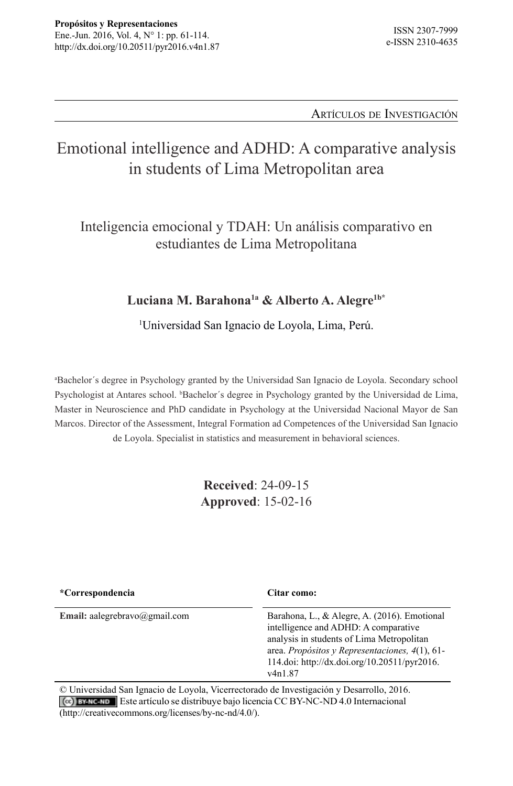Artículos de Investigación

# Emotional intelligence and ADHD: A comparative analysis in students of Lima Metropolitan area

Inteligencia emocional y TDAH: Un análisis comparativo en estudiantes de Lima Metropolitana

#### Luciana M. Barahona<sup>1a</sup> & Alberto A. Alegre<sup>1b\*</sup>

1 Universidad San Ignacio de Loyola, Lima, Perú.

a Bachelor´s degree in Psychology granted by the Universidad San Ignacio de Loyola. Secondary school Psychologist at Antares school. *b*Bachelor's degree in Psychology granted by the Universidad de Lima, Master in Neuroscience and PhD candidate in Psychology at the Universidad Nacional Mayor de San Marcos. Director of the Assessment, Integral Formation ad Competences of the Universidad San Ignacio de Loyola. Specialist in statistics and measurement in behavioral sciences.

> **Received**: 24-09-15 **Approved**: 15-02-16

| <i>*Correspondencia</i>       | Citar como:                                                                                                                                                                                                                                                   |
|-------------------------------|---------------------------------------------------------------------------------------------------------------------------------------------------------------------------------------------------------------------------------------------------------------|
| Email: aalegrebravo@gmail.com | Barahona, L., & Alegre, A. (2016). Emotional<br>intelligence and ADHD: A comparative<br>analysis in students of Lima Metropolitan<br>area. Propósitos y Representaciones, $4(1)$ , 61-<br>114.doi: http://dx.doi.org/10.20511/pyr2016.<br>v <sub>4n1.87</sub> |

© Universidad San Ignacio de Loyola, Vicerrectorado de Investigación y Desarrollo, 2016. Este artículo se distribuye bajo licencia CC BY-NC-ND 4.0 Internacional (http://creativecommons.org/licenses/by-nc-nd/4.0/).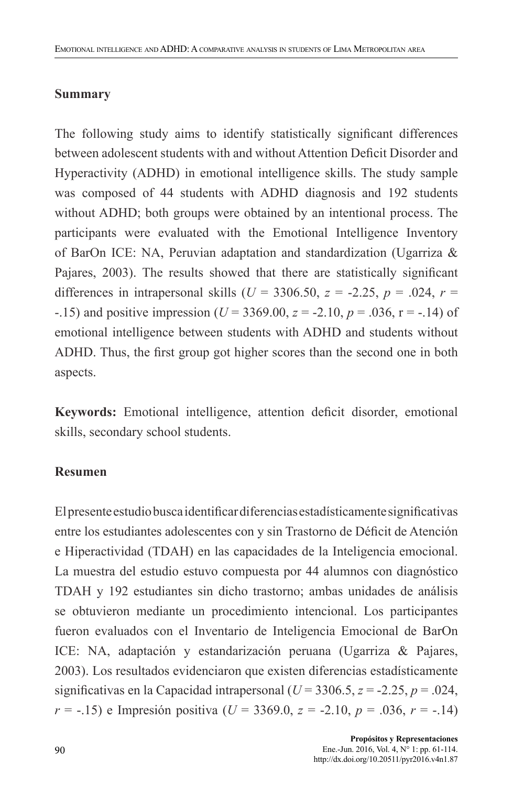#### **Summary**

The following study aims to identify statistically significant differences between adolescent students with and without Attention Deficit Disorder and Hyperactivity (ADHD) in emotional intelligence skills. The study sample was composed of 44 students with ADHD diagnosis and 192 students without ADHD; both groups were obtained by an intentional process. The participants were evaluated with the Emotional Intelligence Inventory of BarOn ICE: NA, Peruvian adaptation and standardization (Ugarriza & Pajares, 2003). The results showed that there are statistically significant differences in intrapersonal skills ( $U = 3306.50$ ,  $z = -2.25$ ,  $p = .024$ ,  $r =$ -.15) and positive impression (*U* = 3369.00, *z* = -2.10, *p* = .036, r = -.14) of emotional intelligence between students with ADHD and students without ADHD. Thus, the first group got higher scores than the second one in both aspects.

**Keywords:** Emotional intelligence, attention deficit disorder, emotional skills, secondary school students.

#### **Resumen**

El presente estudio busca identificar diferencias estadísticamente significativas entre los estudiantes adolescentes con y sin Trastorno de Déficit de Atención e Hiperactividad (TDAH) en las capacidades de la Inteligencia emocional. La muestra del estudio estuvo compuesta por 44 alumnos con diagnóstico TDAH y 192 estudiantes sin dicho trastorno; ambas unidades de análisis se obtuvieron mediante un procedimiento intencional. Los participantes fueron evaluados con el Inventario de Inteligencia Emocional de BarOn ICE: NA, adaptación y estandarización peruana (Ugarriza & Pajares, 2003). Los resultados evidenciaron que existen diferencias estadísticamente significativas en la Capacidad intrapersonal ( $U = 3306.5$ ,  $z = -2.25$ ,  $p = .024$ , *r* = -.15) e Impresión positiva (*U* = 3369.0, *z* = -2.10, *p* = .036, *r* = -.14)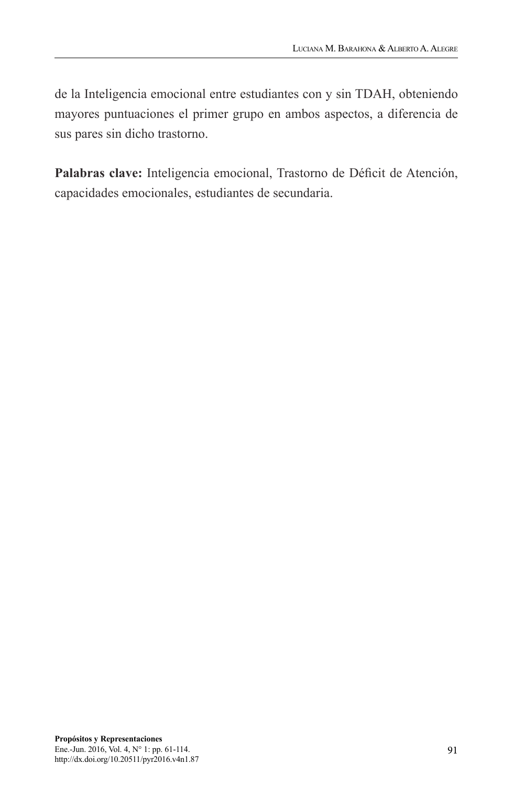de la Inteligencia emocional entre estudiantes con y sin TDAH, obteniendo mayores puntuaciones el primer grupo en ambos aspectos, a diferencia de sus pares sin dicho trastorno.

**Palabras clave:** Inteligencia emocional, Trastorno de Déficit de Atención, capacidades emocionales, estudiantes de secundaria.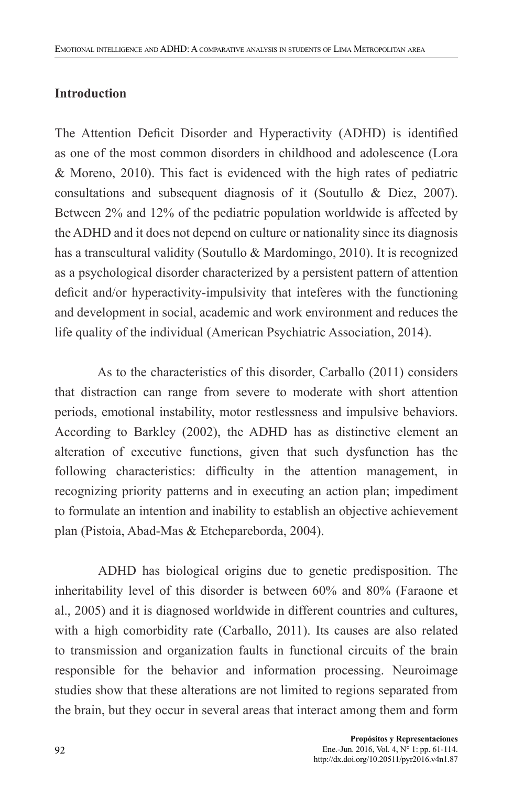#### **Introduction**

The Attention Deficit Disorder and Hyperactivity (ADHD) is identified as one of the most common disorders in childhood and adolescence (Lora & Moreno, 2010). This fact is evidenced with the high rates of pediatric consultations and subsequent diagnosis of it (Soutullo & Diez, 2007). Between 2% and 12% of the pediatric population worldwide is affected by the ADHD and it does not depend on culture or nationality since its diagnosis has a transcultural validity (Soutullo & Mardomingo, 2010). It is recognized as a psychological disorder characterized by a persistent pattern of attention deficit and/or hyperactivity-impulsivity that inteferes with the functioning and development in social, academic and work environment and reduces the life quality of the individual (American Psychiatric Association, 2014).

As to the characteristics of this disorder, Carballo (2011) considers that distraction can range from severe to moderate with short attention periods, emotional instability, motor restlessness and impulsive behaviors. According to Barkley (2002), the ADHD has as distinctive element an alteration of executive functions, given that such dysfunction has the following characteristics: difficulty in the attention management, in recognizing priority patterns and in executing an action plan; impediment to formulate an intention and inability to establish an objective achievement plan (Pistoia, Abad-Mas & Etchepareborda, 2004).

ADHD has biological origins due to genetic predisposition. The inheritability level of this disorder is between 60% and 80% (Faraone et al., 2005) and it is diagnosed worldwide in different countries and cultures, with a high comorbidity rate (Carballo, 2011). Its causes are also related to transmission and organization faults in functional circuits of the brain responsible for the behavior and information processing. Neuroimage studies show that these alterations are not limited to regions separated from the brain, but they occur in several areas that interact among them and form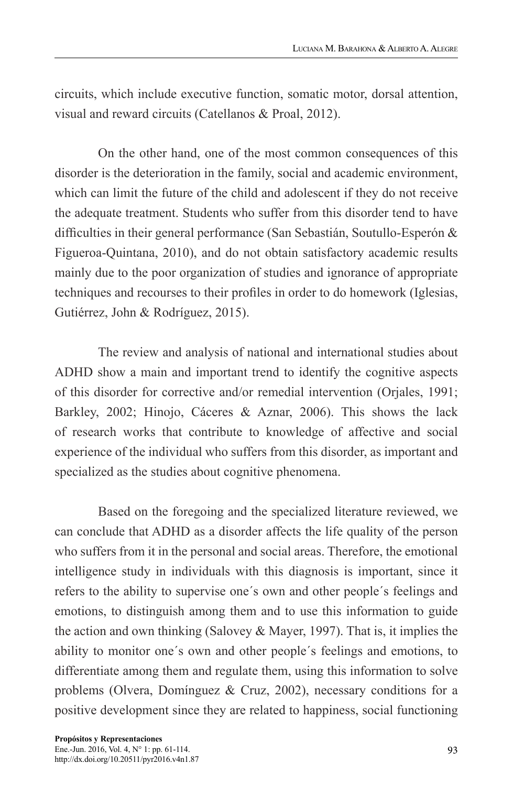circuits, which include executive function, somatic motor, dorsal attention, visual and reward circuits (Catellanos & Proal, 2012).

On the other hand, one of the most common consequences of this disorder is the deterioration in the family, social and academic environment, which can limit the future of the child and adolescent if they do not receive the adequate treatment. Students who suffer from this disorder tend to have difficulties in their general performance (San Sebastián, Soutullo-Esperón & Figueroa-Quintana, 2010), and do not obtain satisfactory academic results mainly due to the poor organization of studies and ignorance of appropriate techniques and recourses to their profiles in order to do homework (Iglesias, Gutiérrez, John & Rodríguez, 2015).

The review and analysis of national and international studies about ADHD show a main and important trend to identify the cognitive aspects of this disorder for corrective and/or remedial intervention (Orjales, 1991; Barkley, 2002; Hinojo, Cáceres & Aznar, 2006). This shows the lack of research works that contribute to knowledge of affective and social experience of the individual who suffers from this disorder, as important and specialized as the studies about cognitive phenomena.

Based on the foregoing and the specialized literature reviewed, we can conclude that ADHD as a disorder affects the life quality of the person who suffers from it in the personal and social areas. Therefore, the emotional intelligence study in individuals with this diagnosis is important, since it refers to the ability to supervise one´s own and other people´s feelings and emotions, to distinguish among them and to use this information to guide the action and own thinking (Salovey & Mayer, 1997). That is, it implies the ability to monitor one´s own and other people´s feelings and emotions, to differentiate among them and regulate them, using this information to solve problems (Olvera, Domínguez & Cruz, 2002), necessary conditions for a positive development since they are related to happiness, social functioning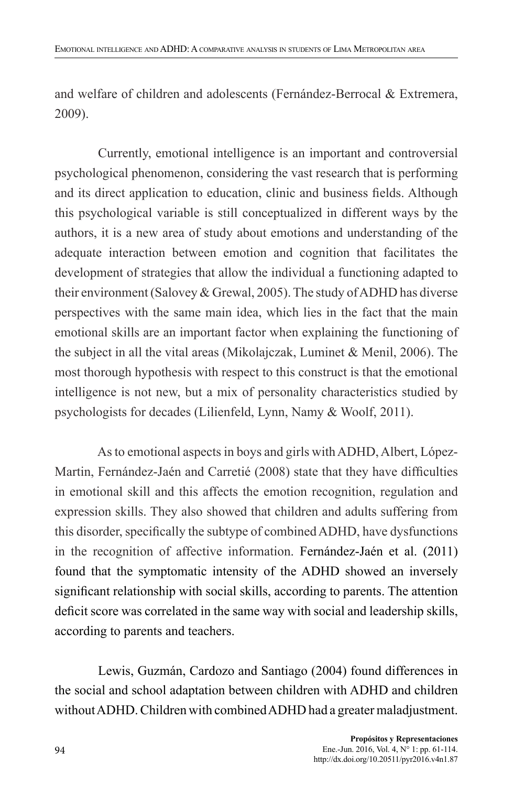and welfare of children and adolescents (Fernández-Berrocal & Extremera, 2009).

Currently, emotional intelligence is an important and controversial psychological phenomenon, considering the vast research that is performing and its direct application to education, clinic and business fields. Although this psychological variable is still conceptualized in different ways by the authors, it is a new area of study about emotions and understanding of the adequate interaction between emotion and cognition that facilitates the development of strategies that allow the individual a functioning adapted to their environment (Salovey & Grewal, 2005). The study of ADHD has diverse perspectives with the same main idea, which lies in the fact that the main emotional skills are an important factor when explaining the functioning of the subject in all the vital areas (Mikolajczak, Luminet & Menil, 2006). The most thorough hypothesis with respect to this construct is that the emotional intelligence is not new, but a mix of personality characteristics studied by psychologists for decades (Lilienfeld, Lynn, Namy & Woolf, 2011).

As to emotional aspects in boys and girls with ADHD, Albert, López-Martin, Fernández-Jaén and Carretié (2008) state that they have difficulties in emotional skill and this affects the emotion recognition, regulation and expression skills. They also showed that children and adults suffering from this disorder, specifically the subtype of combined ADHD, have dysfunctions in the recognition of affective information. Fernández-Jaén et al. (2011) found that the symptomatic intensity of the ADHD showed an inversely significant relationship with social skills, according to parents. The attention deficit score was correlated in the same way with social and leadership skills, according to parents and teachers.

Lewis, Guzmán, Cardozo and Santiago (2004) found differences in the social and school adaptation between children with ADHD and children without ADHD. Children with combined ADHD had a greater maladjustment.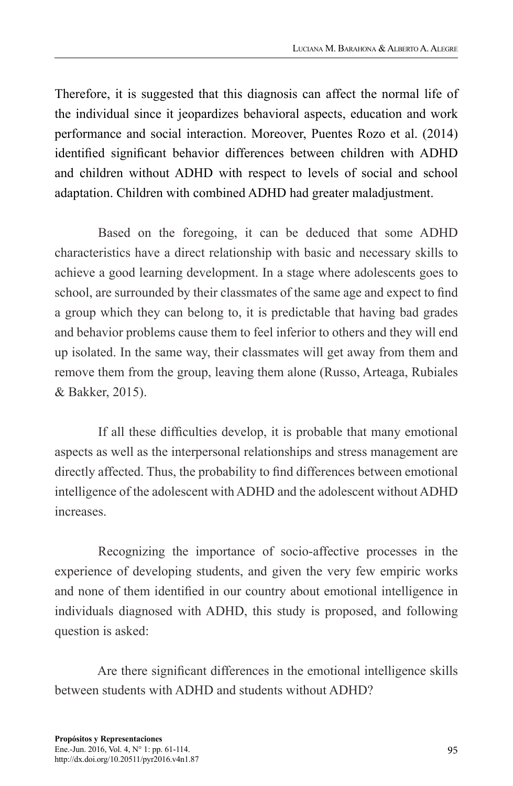Therefore, it is suggested that this diagnosis can affect the normal life of the individual since it jeopardizes behavioral aspects, education and work performance and social interaction. Moreover, Puentes Rozo et al. (2014) identified significant behavior differences between children with ADHD and children without ADHD with respect to levels of social and school adaptation. Children with combined ADHD had greater maladjustment.

Based on the foregoing, it can be deduced that some ADHD characteristics have a direct relationship with basic and necessary skills to achieve a good learning development. In a stage where adolescents goes to school, are surrounded by their classmates of the same age and expect to find a group which they can belong to, it is predictable that having bad grades and behavior problems cause them to feel inferior to others and they will end up isolated. In the same way, their classmates will get away from them and remove them from the group, leaving them alone (Russo, Arteaga, Rubiales & Bakker, 2015).

If all these difficulties develop, it is probable that many emotional aspects as well as the interpersonal relationships and stress management are directly affected. Thus, the probability to find differences between emotional intelligence of the adolescent with ADHD and the adolescent without ADHD increases.

Recognizing the importance of socio-affective processes in the experience of developing students, and given the very few empiric works and none of them identified in our country about emotional intelligence in individuals diagnosed with ADHD, this study is proposed, and following question is asked:

Are there significant differences in the emotional intelligence skills between students with ADHD and students without ADHD?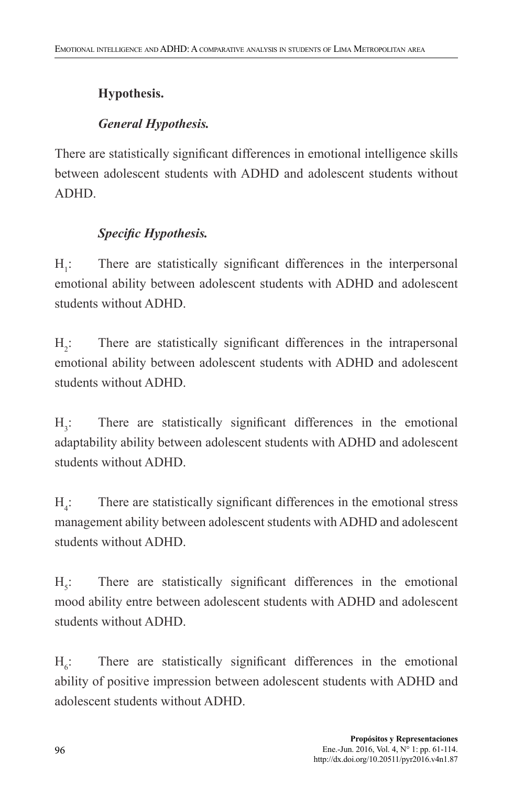### **Hypothesis.**

### *General Hypothesis.*

There are statistically significant differences in emotional intelligence skills between adolescent students with ADHD and adolescent students without ADHD.

### *Specific Hypothesis.*

 $H:$ : There are statistically significant differences in the interpersonal emotional ability between adolescent students with ADHD and adolescent students without ADHD.

 $H<sub>2</sub>$ : There are statistically significant differences in the intrapersonal emotional ability between adolescent students with ADHD and adolescent students without ADHD.

 $H<sub>2</sub>$ : : There are statistically significant differences in the emotional adaptability ability between adolescent students with ADHD and adolescent students without ADHD.

 $H_{4}$ : : There are statistically significant differences in the emotional stress management ability between adolescent students with ADHD and adolescent students without ADHD.

 $H_{\varepsilon}$ : : There are statistically significant differences in the emotional mood ability entre between adolescent students with ADHD and adolescent students without ADHD.

 $H_{\alpha}$ : : There are statistically significant differences in the emotional ability of positive impression between adolescent students with ADHD and adolescent students without ADHD.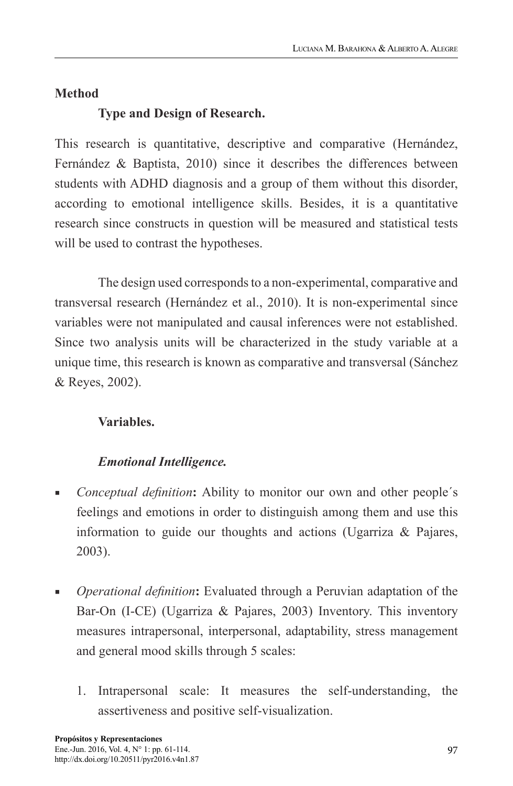### **Method**

## **Type and Design of Research.**

This research is quantitative, descriptive and comparative (Hernández, Fernández & Baptista, 2010) since it describes the differences between students with ADHD diagnosis and a group of them without this disorder, according to emotional intelligence skills. Besides, it is a quantitative research since constructs in question will be measured and statistical tests will be used to contrast the hypotheses.

The design used corresponds to a non-experimental, comparative and transversal research (Hernández et al., 2010). It is non-experimental since variables were not manipulated and causal inferences were not established. Since two analysis units will be characterized in the study variable at a unique time, this research is known as comparative and transversal (Sánchez & Reyes, 2002).

### **Variables.**

## *Emotional Intelligence.*

- *Conceptual definition*: Ability to monitor our own and other people's feelings and emotions in order to distinguish among them and use this information to guide our thoughts and actions (Ugarriza & Pajares, 2003).
- **•** *Operational definition*: Evaluated through a Peruvian adaptation of the Bar-On (I-CE) (Ugarriza & Pajares, 2003) Inventory. This inventory measures intrapersonal, interpersonal, adaptability, stress management and general mood skills through 5 scales:
	- 1. Intrapersonal scale: It measures the self-understanding, the assertiveness and positive self-visualization.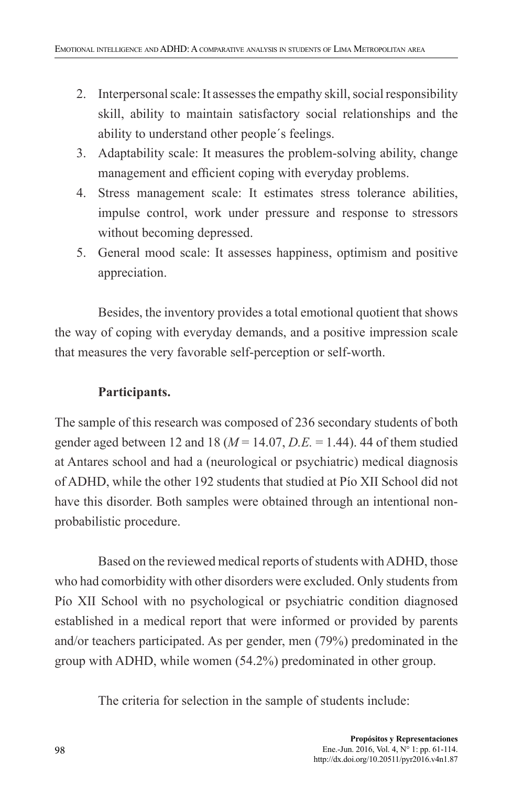- 2. Interpersonal scale: It assesses the empathy skill, social responsibility skill, ability to maintain satisfactory social relationships and the ability to understand other people´s feelings.
- 3. Adaptability scale: It measures the problem-solving ability, change management and efficient coping with everyday problems.
- 4. Stress management scale: It estimates stress tolerance abilities, impulse control, work under pressure and response to stressors without becoming depressed.
- 5. General mood scale: It assesses happiness, optimism and positive appreciation.

Besides, the inventory provides a total emotional quotient that shows the way of coping with everyday demands, and a positive impression scale that measures the very favorable self-perception or self-worth.

### **Participants.**

The sample of this research was composed of 236 secondary students of both gender aged between 12 and 18 ( $M = 14.07$ ,  $D.E. = 1.44$ ). 44 of them studied at Antares school and had a (neurological or psychiatric) medical diagnosis of ADHD, while the other 192 students that studied at Pío XII School did not have this disorder. Both samples were obtained through an intentional nonprobabilistic procedure.

Based on the reviewed medical reports of students with ADHD, those who had comorbidity with other disorders were excluded. Only students from Pío XII School with no psychological or psychiatric condition diagnosed established in a medical report that were informed or provided by parents and/or teachers participated. As per gender, men (79%) predominated in the group with ADHD, while women (54.2%) predominated in other group.

The criteria for selection in the sample of students include: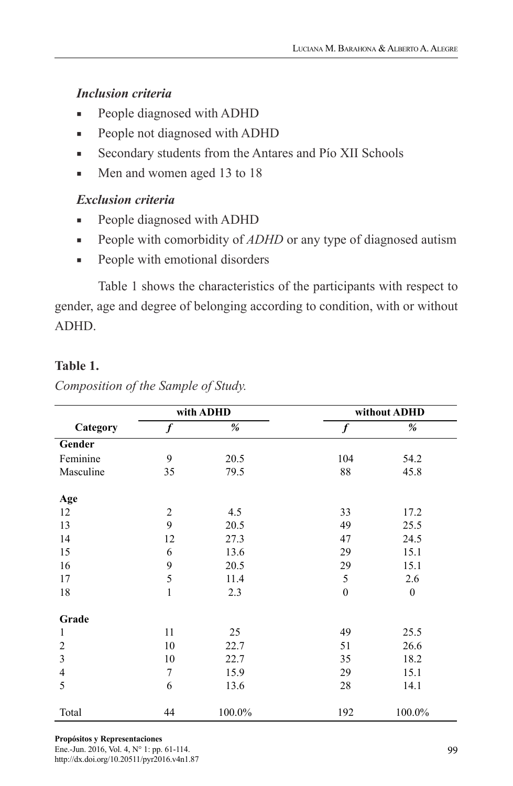#### *Inclusion criteria*

- People diagnosed with ADHD
- People not diagnosed with ADHD
- Secondary students from the Antares and Pío XII Schools
- Men and women aged 13 to 18

#### *Exclusion criteria*

- People diagnosed with ADHD
- People with comorbidity of *ADHD* or any type of diagnosed autism
- People with emotional disorders

Table 1 shows the characteristics of the participants with respect to gender, age and degree of belonging according to condition, with or without ADHD.

#### **Table 1.**

|                |                  | with ADHD | without ADHD     |                  |  |  |
|----------------|------------------|-----------|------------------|------------------|--|--|
| Category       | $\boldsymbol{f}$ | %         | $\boldsymbol{f}$ | %                |  |  |
| Gender         |                  |           |                  |                  |  |  |
| Feminine       | 9                | 20.5      | 104              | 54.2             |  |  |
| Masculine      | 35               | 79.5      | 88               | 45.8             |  |  |
| Age            |                  |           |                  |                  |  |  |
| 12             | 2                | 4.5       | 33               | 17.2             |  |  |
| 13             | 9                | 20.5      | 49               | 25.5             |  |  |
| 14             | 12               | 27.3      | 47               | 24.5             |  |  |
| 15             | 6                | 13.6      | 29               | 15.1             |  |  |
| 16             | 9                | 20.5      | 29               | 15.1             |  |  |
| 17             | 5                | 11.4      | 5                | 2.6              |  |  |
| 18             | $\mathbf{1}$     | 2.3       | $\mathbf{0}$     | $\boldsymbol{0}$ |  |  |
| Grade          |                  |           |                  |                  |  |  |
| 1              | 11               | 25        | 49               | 25.5             |  |  |
| $\overline{2}$ | 10               | 22.7      | 51               | 26.6             |  |  |
| $\mathfrak{Z}$ | 10               | 22.7      | 35               | 18.2             |  |  |
| $\overline{4}$ | 7                | 15.9      | 29               | 15.1             |  |  |
| 5              | 6                | 13.6      | 28               | 14.1             |  |  |
| Total          | 44               | $100.0\%$ | 192              | 100.0%           |  |  |

*Composition of the Sample of Study.*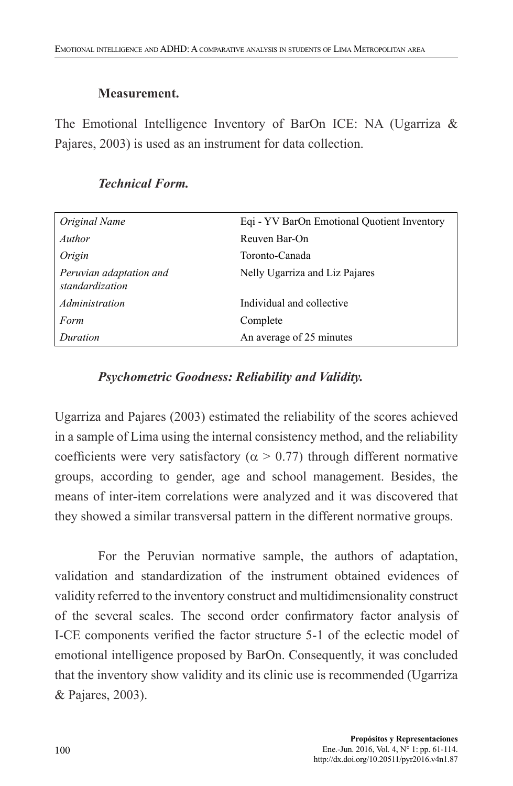#### **Measurement.**

The Emotional Intelligence Inventory of BarOn ICE: NA (Ugarriza & Pajares, 2003) is used as an instrument for data collection.

| Original Name                              | Eqi - YV BarOn Emotional Quotient Inventory |
|--------------------------------------------|---------------------------------------------|
| Author                                     | Reuven Bar-On                               |
| Origin                                     | Toronto-Canada                              |
| Peruvian adaptation and<br>standardization | Nelly Ugarriza and Liz Pajares              |
| Administration                             | Individual and collective                   |
| Form                                       | Complete                                    |
| Duration                                   | An average of 25 minutes                    |

#### *Technical Form.*

#### *Psychometric Goodness: Reliability and Validity.*

Ugarriza and Pajares (2003) estimated the reliability of the scores achieved in a sample of Lima using the internal consistency method, and the reliability coefficients were very satisfactory ( $\alpha > 0.77$ ) through different normative groups, according to gender, age and school management. Besides, the means of inter-item correlations were analyzed and it was discovered that they showed a similar transversal pattern in the different normative groups.

For the Peruvian normative sample, the authors of adaptation, validation and standardization of the instrument obtained evidences of validity referred to the inventory construct and multidimensionality construct of the several scales. The second order confirmatory factor analysis of I-CE components verified the factor structure 5-1 of the eclectic model of emotional intelligence proposed by BarOn. Consequently, it was concluded that the inventory show validity and its clinic use is recommended (Ugarriza & Pajares, 2003).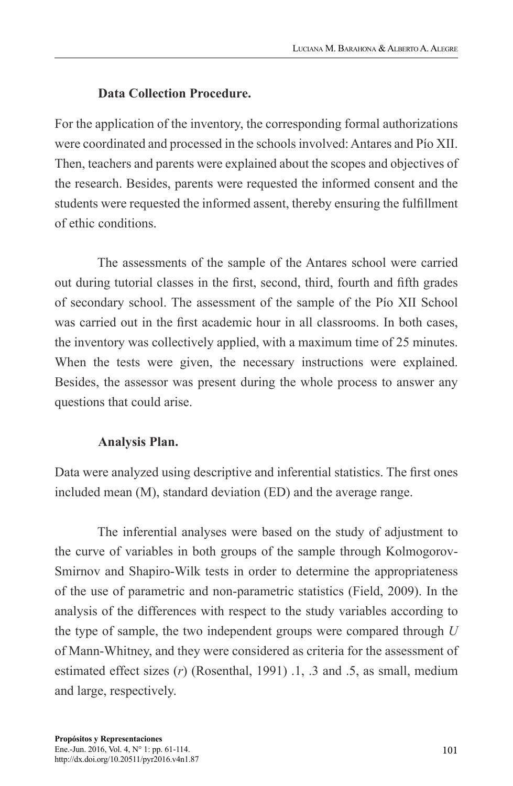#### **Data Collection Procedure.**

For the application of the inventory, the corresponding formal authorizations were coordinated and processed in the schools involved: Antares and Pío XII. Then, teachers and parents were explained about the scopes and objectives of the research. Besides, parents were requested the informed consent and the students were requested the informed assent, thereby ensuring the fulfillment of ethic conditions.

The assessments of the sample of the Antares school were carried out during tutorial classes in the first, second, third, fourth and fifth grades of secondary school. The assessment of the sample of the Pío XII School was carried out in the first academic hour in all classrooms. In both cases, the inventory was collectively applied, with a maximum time of 25 minutes. When the tests were given, the necessary instructions were explained. Besides, the assessor was present during the whole process to answer any questions that could arise.

#### **Analysis Plan.**

Data were analyzed using descriptive and inferential statistics. The first ones included mean (M), standard deviation (ED) and the average range.

The inferential analyses were based on the study of adjustment to the curve of variables in both groups of the sample through Kolmogorov-Smirnov and Shapiro-Wilk tests in order to determine the appropriateness of the use of parametric and non-parametric statistics (Field, 2009). In the analysis of the differences with respect to the study variables according to the type of sample, the two independent groups were compared through *U* of Mann-Whitney, and they were considered as criteria for the assessment of estimated effect sizes (*r*) (Rosenthal, 1991) .1, .3 and .5, as small, medium and large, respectively.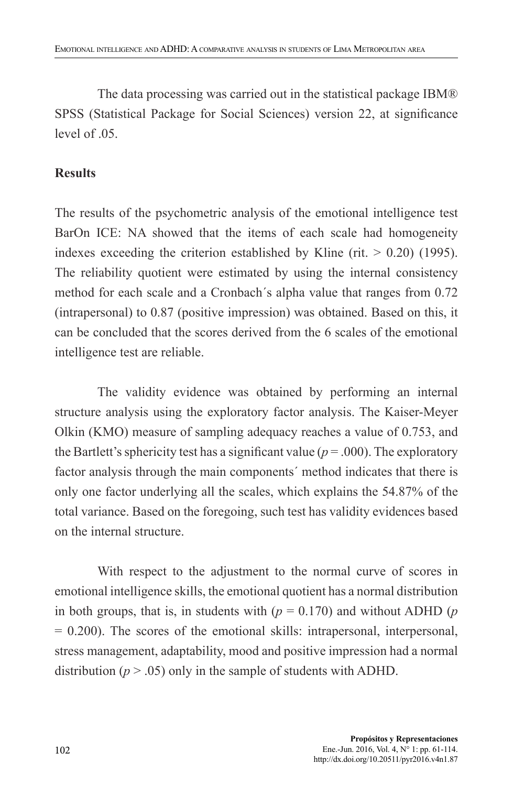The data processing was carried out in the statistical package IBM® SPSS (Statistical Package for Social Sciences) version 22, at significance level of  $.05$ .

#### **Results**

The results of the psychometric analysis of the emotional intelligence test BarOn ICE: NA showed that the items of each scale had homogeneity indexes exceeding the criterion established by Kline (rit.  $> 0.20$ ) (1995). The reliability quotient were estimated by using the internal consistency method for each scale and a Cronbach´s alpha value that ranges from 0.72 (intrapersonal) to 0.87 (positive impression) was obtained. Based on this, it can be concluded that the scores derived from the 6 scales of the emotional intelligence test are reliable.

The validity evidence was obtained by performing an internal structure analysis using the exploratory factor analysis. The Kaiser-Meyer Olkin (KMO) measure of sampling adequacy reaches a value of 0.753, and the Bartlett's sphericity test has a significant value ( $p = .000$ ). The exploratory factor analysis through the main components´ method indicates that there is only one factor underlying all the scales, which explains the 54.87% of the total variance. Based on the foregoing, such test has validity evidences based on the internal structure.

With respect to the adjustment to the normal curve of scores in emotional intelligence skills, the emotional quotient has a normal distribution in both groups, that is, in students with  $(p = 0.170)$  and without ADHD  $(p$ = 0.200). The scores of the emotional skills: intrapersonal, interpersonal, stress management, adaptability, mood and positive impression had a normal distribution  $(p > .05)$  only in the sample of students with ADHD.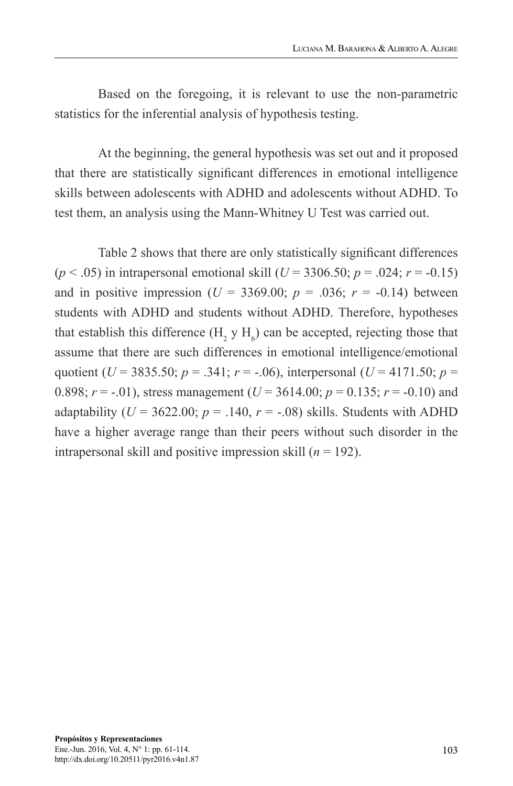Based on the foregoing, it is relevant to use the non-parametric statistics for the inferential analysis of hypothesis testing.

At the beginning, the general hypothesis was set out and it proposed that there are statistically significant differences in emotional intelligence skills between adolescents with ADHD and adolescents without ADHD. To test them, an analysis using the Mann-Whitney U Test was carried out.

Table 2 shows that there are only statistically significant differences ( $p < .05$ ) in intrapersonal emotional skill ( $U = 3306.50$ ;  $p = .024$ ;  $r = -0.15$ ) and in positive impression ( $U = 3369.00$ ;  $p = .036$ ;  $r = -0.14$ ) between students with ADHD and students without ADHD. Therefore, hypotheses that establish this difference  $(H_2 y H_6)$  can be accepted, rejecting those that assume that there are such differences in emotional intelligence/emotional quotient ( $U = 3835.50$ ;  $p = .341$ ;  $r = -.06$ ), interpersonal ( $U = 4171.50$ ;  $p =$ 0.898;  $r = -0.01$ ), stress management ( $U = 3614.00$ ;  $p = 0.135$ ;  $r = -0.10$ ) and adaptability ( $U = 3622.00$ ;  $p = .140$ ,  $r = -.08$ ) skills. Students with ADHD have a higher average range than their peers without such disorder in the intrapersonal skill and positive impression skill  $(n = 192)$ .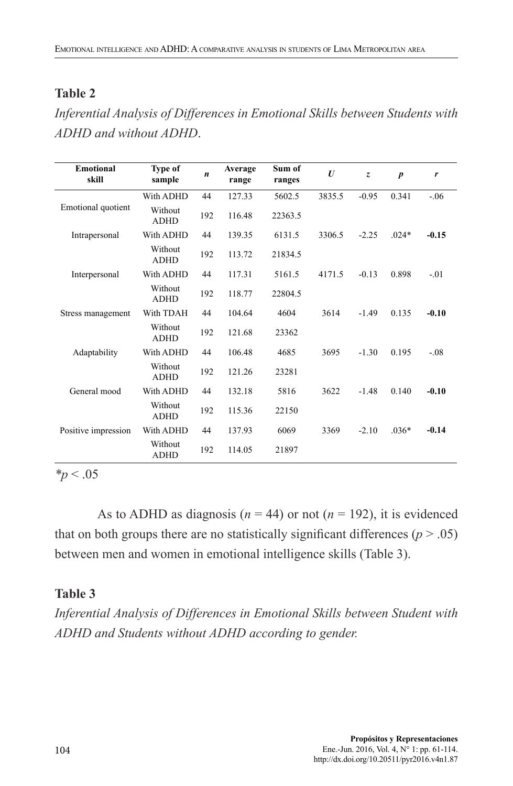#### **Table 2**

*Inferential Analysis of Differences in Emotional Skills between Students with ADHD and without ADHD*.

| <b>Emotional</b><br>skill | Type of<br>sample      | $\boldsymbol{n}$ | Average<br>range | Sum of<br>ranges | $\boldsymbol{U}$ | Z,      | $\boldsymbol{p}$ | r       |
|---------------------------|------------------------|------------------|------------------|------------------|------------------|---------|------------------|---------|
|                           | With ADHD              | 44               | 127.33           | 5602.5           | 3835.5           | $-0.95$ | 0.341            | $-.06$  |
| Emotional quotient        | Without<br><b>ADHD</b> | 192              | 116.48           | 22363.5          |                  |         |                  |         |
| Intrapersonal             | With ADHD              | 44               | 139.35           | 6131.5           | 3306.5           | $-2.25$ | $.024*$          | $-0.15$ |
|                           | Without<br><b>ADHD</b> | 192              | 113.72           | 21834.5          |                  |         |                  |         |
| Interpersonal             | With ADHD              | 44               | 117.31           | 5161.5           | 4171.5           | $-0.13$ | 0.898            | $-01$   |
|                           | Without<br><b>ADHD</b> | 192              | 118.77           | 22804.5          |                  |         |                  |         |
| Stress management         | With TDAH              | 44               | 104.64           | 4604             | 3614             | $-1.49$ | 0.135            | $-0.10$ |
|                           | Without<br><b>ADHD</b> | 192              | 121.68           | 23362            |                  |         |                  |         |
| Adaptability              | With ADHD              | 44               | 106.48           | 4685             | 3695             | $-1.30$ | 0.195            | $-.08$  |
|                           | Without<br><b>ADHD</b> | 192              | 121.26           | 23281            |                  |         |                  |         |
| General mood              | With ADHD              | 44               | 132.18           | 5816             | 3622             | $-1.48$ | 0.140            | $-0.10$ |
|                           | Without<br><b>ADHD</b> | 192              | 115.36           | 22150            |                  |         |                  |         |
| Positive impression       | With ADHD              | 44               | 137.93           | 6069             | 3369             | $-2.10$ | $.036*$          | $-0.14$ |
|                           | Without<br><b>ADHD</b> | 192              | 114.05           | 21897            |                  |         |                  |         |

*\*p* < .05

As to ADHD as diagnosis ( $n = 44$ ) or not ( $n = 192$ ), it is evidenced that on both groups there are no statistically significant differences  $(p > .05)$ between men and women in emotional intelligence skills (Table 3).

#### **Table 3**

*Inferential Analysis of Differences in Emotional Skills between Student with ADHD and Students without ADHD according to gender.*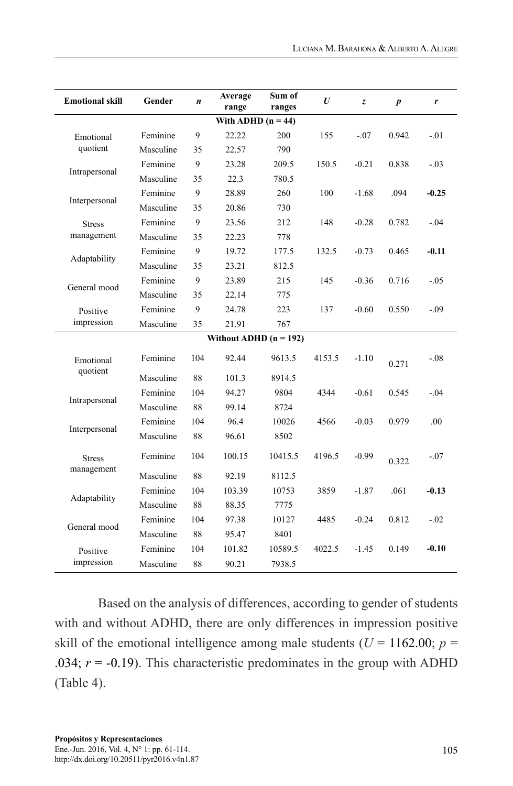| <b>Emotional skill</b> | Gender    | $\boldsymbol{n}$ | Average<br>range         | Sum of<br>ranges | $\boldsymbol{U}$ | z       | $\boldsymbol{p}$ | r       |
|------------------------|-----------|------------------|--------------------------|------------------|------------------|---------|------------------|---------|
| With ADHD $(n = 44)$   |           |                  |                          |                  |                  |         |                  |         |
| Emotional              | Feminine  | 9                | 22.22                    | 200              | 155              | $-.07$  | 0.942            | $-.01$  |
| quotient               | Masculine | 35               | 22.57                    | 790              |                  |         |                  |         |
| Intrapersonal          | Feminine  | 9                | 23.28                    | 209.5            | 150.5            | $-0.21$ | 0.838            | $-0.03$ |
|                        | Masculine | 35               | 22.3                     | 780.5            |                  |         |                  |         |
|                        | Feminine  | 9                | 28.89                    | 260              | 100              | $-1.68$ | .094             | $-0.25$ |
| Interpersonal          | Masculine | 35               | 20.86                    | 730              |                  |         |                  |         |
| <b>Stress</b>          | Feminine  | 9                | 23.56                    | 212              | 148              | $-0.28$ | 0.782            | $-.04$  |
| management             | Masculine | 35               | 22.23                    | 778              |                  |         |                  |         |
|                        | Feminine  | 9                | 19.72                    | 177.5            | 132.5            | $-0.73$ | 0.465            | $-0.11$ |
| Adaptability           | Masculine | 35               | 23.21                    | 812.5            |                  |         |                  |         |
| General mood           | Feminine  | 9                | 23.89                    | 215              | 145              | $-0.36$ | 0.716            | $-.05$  |
|                        | Masculine | 35               | 22.14                    | 775              |                  |         |                  |         |
| Positive               | Feminine  | 9                | 24.78                    | 223              | 137              | $-0.60$ | 0.550            | $-.09$  |
| impression             | Masculine | 35               | 21.91                    | 767              |                  |         |                  |         |
|                        |           |                  | Without ADHD $(n = 192)$ |                  |                  |         |                  |         |
| Emotional              | Feminine  | 104              | 92.44                    | 9613.5           | 4153.5           | $-1.10$ | 0.271            | $-.08$  |
| quotient               | Masculine | 88               | 101.3                    | 8914.5           |                  |         |                  |         |
|                        | Feminine  | 104              | 94.27                    | 9804             | 4344             | $-0.61$ | 0.545            | $-.04$  |
| Intrapersonal          | Masculine | 88               | 99.14                    | 8724             |                  |         |                  |         |
|                        | Feminine  | 104              | 96.4                     | 10026            | 4566             | $-0.03$ | 0.979            | .00     |
| Interpersonal          | Masculine | 88               | 96.61                    | 8502             |                  |         |                  |         |
| <b>Stress</b>          | Feminine  | 104              | 100.15                   | 10415.5          | 4196.5           | $-0.99$ | 0.322            | $-.07$  |
| management             | Masculine | 88               | 92.19                    | 8112.5           |                  |         |                  |         |
|                        | Feminine  | 104              | 103.39                   | 10753            | 3859             | $-1.87$ | .061             | $-0.13$ |
| Adaptability           | Masculine | 88               | 88.35                    | 7775             |                  |         |                  |         |
|                        | Feminine  | 104              | 97.38                    | 10127            | 4485             | $-0.24$ | 0.812            | $-.02$  |
| General mood           | Masculine | 88               | 95.47                    | 8401             |                  |         |                  |         |
| Positive               | Feminine  | 104              | 101.82                   | 10589.5          | 4022.5           | $-1.45$ | 0.149            | $-0.10$ |
| impression             | Masculine | 88               | 90.21                    | 7938.5           |                  |         |                  |         |

Based on the analysis of differences, according to gender of students with and without ADHD, there are only differences in impression positive skill of the emotional intelligence among male students ( $U = 1162.00$ ;  $p =$ .034;  $r = -0.19$ ). This characteristic predominates in the group with ADHD (Table 4).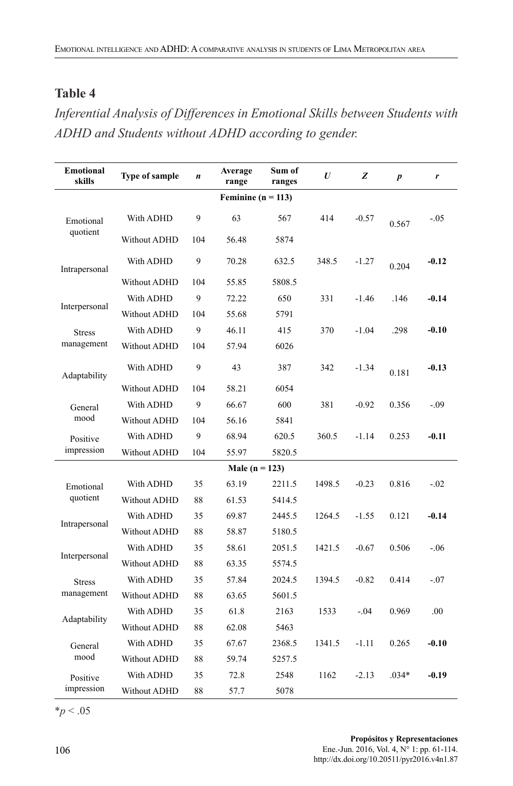#### **Table 4**

*Inferential Analysis of Differences in Emotional Skills between Students with ADHD and Students without ADHD according to gender.*

| <b>Emotional</b><br>skills | Type of sample | $\boldsymbol{n}$ | Average<br>range   | Sum of<br>ranges | $\boldsymbol{U}$ | z       | $\boldsymbol{p}$ | r       |
|----------------------------|----------------|------------------|--------------------|------------------|------------------|---------|------------------|---------|
| Feminine ( $n = 113$ )     |                |                  |                    |                  |                  |         |                  |         |
| Emotional                  | With ADHD      | 9                | 63                 | 567              | 414              | $-0.57$ | 0.567            | $-0.5$  |
| quotient                   | Without ADHD   | 104              | 56.48              | 5874             |                  |         |                  |         |
| Intrapersonal              | With ADHD      | 9                | 70.28              | 632.5            | 348.5            | $-1.27$ | 0.204            | $-0.12$ |
|                            | Without ADHD   | 104              | 55.85              | 5808.5           |                  |         |                  |         |
|                            | With ADHD      | 9                | 72.22              | 650              | 331              | $-1.46$ | .146             | $-0.14$ |
| Interpersonal              | Without ADHD   | 104              | 55.68              | 5791             |                  |         |                  |         |
| <b>Stress</b>              | With ADHD      | 9                | 46.11              | 415              | 370              | $-1.04$ | .298             | $-0.10$ |
| management                 | Without ADHD   | 104              | 57.94              | 6026             |                  |         |                  |         |
| Adaptability               | With ADHD      | 9                | 43                 | 387              | 342              | $-1.34$ | 0.181            | $-0.13$ |
|                            | Without ADHD   | 104              | 58.21              | 6054             |                  |         |                  |         |
| General                    | With ADHD      | 9                | 66.67              | 600              | 381              | $-0.92$ | 0.356            | $-.09$  |
| mood                       | Without ADHD   | 104              | 56.16              | 5841             |                  |         |                  |         |
| Positive                   | With ADHD      | 9                | 68.94              | 620.5            | 360.5            | $-1.14$ | 0.253            | $-0.11$ |
| impression                 | Without ADHD   | 104              | 55.97              | 5820.5           |                  |         |                  |         |
|                            |                |                  | Male ( $n = 123$ ) |                  |                  |         |                  |         |
| Emotional                  | With ADHD      | 35               | 63.19              | 2211.5           | 1498.5           | $-0.23$ | 0.816            | $-.02$  |
| quotient                   | Without ADHD   | 88               | 61.53              | 5414.5           |                  |         |                  |         |
|                            | With ADHD      | 35               | 69.87              | 2445.5           | 1264.5           | $-1.55$ | 0.121            | $-0.14$ |
| Intrapersonal              | Without ADHD   | 88               | 58.87              | 5180.5           |                  |         |                  |         |
|                            | With ADHD      | 35               | 58.61              | 2051.5           | 1421.5           | $-0.67$ | 0.506            | $-.06$  |
| Interpersonal              | Without ADHD   | 88               | 63.35              | 5574.5           |                  |         |                  |         |
| <b>Stress</b>              | With ADHD      | 35               | 57.84              | 2024.5           | 1394.5           | $-0.82$ | 0.414            | $-.07$  |
| management                 | Without ADHD   | 88               | 63.65              | 5601.5           |                  |         |                  |         |
| Adaptability               | With ADHD      | 35               | 61.8               | 2163             | 1533             | $-.04$  | 0.969            | .00     |
|                            | Without ADHD   | 88               | 62.08              | 5463             |                  |         |                  |         |
| General                    | With ADHD      | 35               | 67.67              | 2368.5           | 1341.5           | $-1.11$ | 0.265            | $-0.10$ |
| mood                       | Without ADHD   | 88               | 59.74              | 5257.5           |                  |         |                  |         |
| Positive                   | With ADHD      | 35               | 72.8               | 2548             | 1162             | $-2.13$ | $.034*$          | $-0.19$ |
| impression                 | Without ADHD   | 88               | 57.7               | 5078             |                  |         |                  |         |

\**p* < .05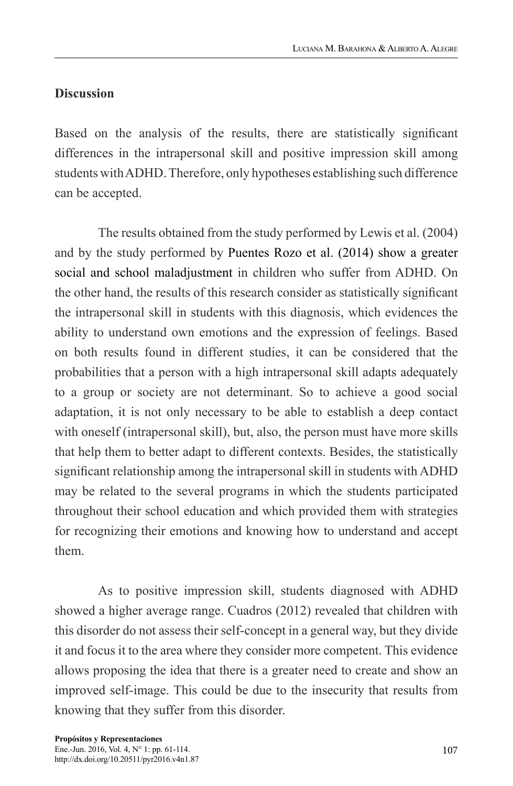#### **Discussion**

Based on the analysis of the results, there are statistically significant differences in the intrapersonal skill and positive impression skill among students with ADHD. Therefore, only hypotheses establishing such difference can be accepted.

The results obtained from the study performed by Lewis et al. (2004) and by the study performed by Puentes Rozo et al. (2014) show a greater social and school maladjustment in children who suffer from ADHD. On the other hand, the results of this research consider as statistically significant the intrapersonal skill in students with this diagnosis, which evidences the ability to understand own emotions and the expression of feelings. Based on both results found in different studies, it can be considered that the probabilities that a person with a high intrapersonal skill adapts adequately to a group or society are not determinant. So to achieve a good social adaptation, it is not only necessary to be able to establish a deep contact with oneself (intrapersonal skill), but, also, the person must have more skills that help them to better adapt to different contexts. Besides, the statistically significant relationship among the intrapersonal skill in students with ADHD may be related to the several programs in which the students participated throughout their school education and which provided them with strategies for recognizing their emotions and knowing how to understand and accept them.

As to positive impression skill, students diagnosed with ADHD showed a higher average range. Cuadros (2012) revealed that children with this disorder do not assess their self-concept in a general way, but they divide it and focus it to the area where they consider more competent. This evidence allows proposing the idea that there is a greater need to create and show an improved self-image. This could be due to the insecurity that results from knowing that they suffer from this disorder.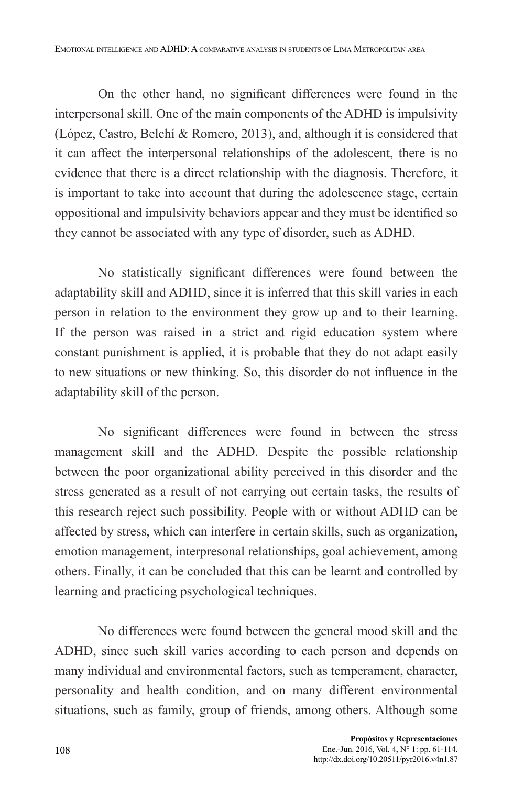On the other hand, no significant differences were found in the interpersonal skill. One of the main components of the ADHD is impulsivity (López, Castro, Belchí & Romero, 2013), and, although it is considered that it can affect the interpersonal relationships of the adolescent, there is no evidence that there is a direct relationship with the diagnosis. Therefore, it is important to take into account that during the adolescence stage, certain oppositional and impulsivity behaviors appear and they must be identified so they cannot be associated with any type of disorder, such as ADHD.

No statistically significant differences were found between the adaptability skill and ADHD, since it is inferred that this skill varies in each person in relation to the environment they grow up and to their learning. If the person was raised in a strict and rigid education system where constant punishment is applied, it is probable that they do not adapt easily to new situations or new thinking. So, this disorder do not influence in the adaptability skill of the person.

No significant differences were found in between the stress management skill and the ADHD. Despite the possible relationship between the poor organizational ability perceived in this disorder and the stress generated as a result of not carrying out certain tasks, the results of this research reject such possibility. People with or without ADHD can be affected by stress, which can interfere in certain skills, such as organization, emotion management, interpresonal relationships, goal achievement, among others. Finally, it can be concluded that this can be learnt and controlled by learning and practicing psychological techniques.

No differences were found between the general mood skill and the ADHD, since such skill varies according to each person and depends on many individual and environmental factors, such as temperament, character, personality and health condition, and on many different environmental situations, such as family, group of friends, among others. Although some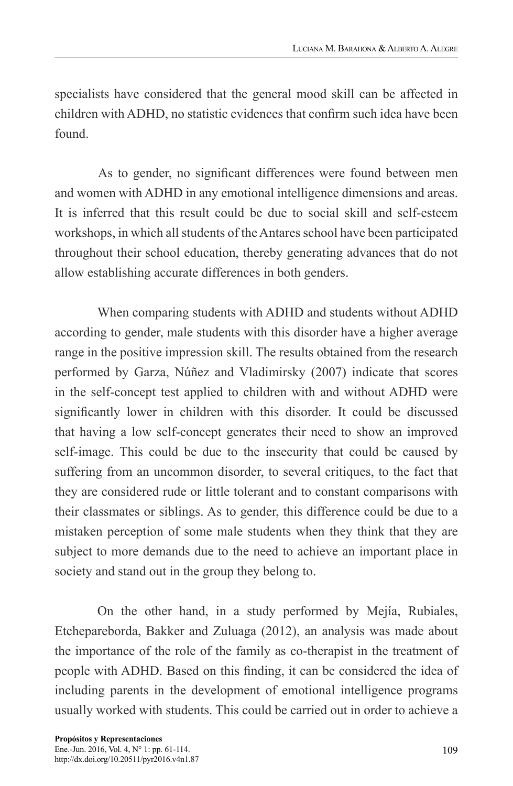specialists have considered that the general mood skill can be affected in children with ADHD, no statistic evidences that confirm such idea have been found.

As to gender, no significant differences were found between men and women with ADHD in any emotional intelligence dimensions and areas. It is inferred that this result could be due to social skill and self-esteem workshops, in which all students of the Antares school have been participated throughout their school education, thereby generating advances that do not allow establishing accurate differences in both genders.

When comparing students with ADHD and students without ADHD according to gender, male students with this disorder have a higher average range in the positive impression skill. The results obtained from the research performed by Garza, Núñez and Vladimirsky (2007) indicate that scores in the self-concept test applied to children with and without ADHD were significantly lower in children with this disorder. It could be discussed that having a low self-concept generates their need to show an improved self-image. This could be due to the insecurity that could be caused by suffering from an uncommon disorder, to several critiques, to the fact that they are considered rude or little tolerant and to constant comparisons with their classmates or siblings. As to gender, this difference could be due to a mistaken perception of some male students when they think that they are subject to more demands due to the need to achieve an important place in society and stand out in the group they belong to.

On the other hand, in a study performed by Mejía, Rubiales, Etchepareborda, Bakker and Zuluaga (2012), an analysis was made about the importance of the role of the family as co-therapist in the treatment of people with ADHD. Based on this finding, it can be considered the idea of including parents in the development of emotional intelligence programs usually worked with students. This could be carried out in order to achieve a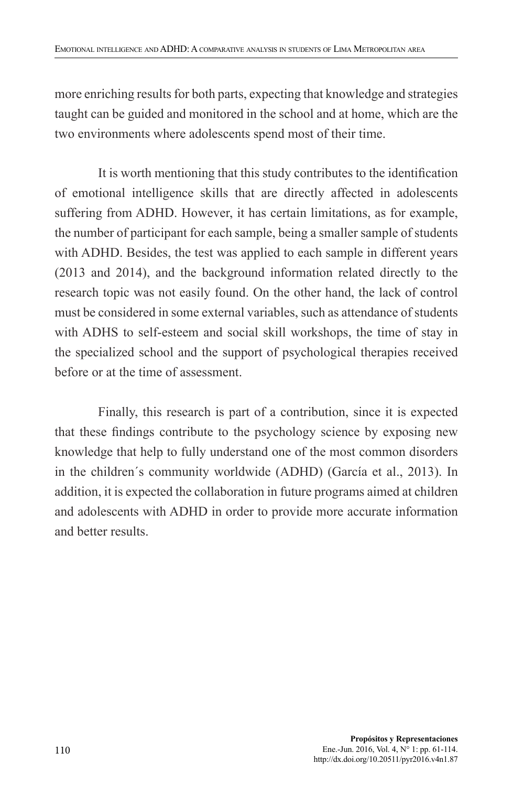more enriching results for both parts, expecting that knowledge and strategies taught can be guided and monitored in the school and at home, which are the two environments where adolescents spend most of their time.

It is worth mentioning that this study contributes to the identification of emotional intelligence skills that are directly affected in adolescents suffering from ADHD. However, it has certain limitations, as for example, the number of participant for each sample, being a smaller sample of students with ADHD. Besides, the test was applied to each sample in different years (2013 and 2014), and the background information related directly to the research topic was not easily found. On the other hand, the lack of control must be considered in some external variables, such as attendance of students with ADHS to self-esteem and social skill workshops, the time of stay in the specialized school and the support of psychological therapies received before or at the time of assessment.

Finally, this research is part of a contribution, since it is expected that these findings contribute to the psychology science by exposing new knowledge that help to fully understand one of the most common disorders in the children´s community worldwide (ADHD) (García et al., 2013). In addition, it is expected the collaboration in future programs aimed at children and adolescents with ADHD in order to provide more accurate information and better results.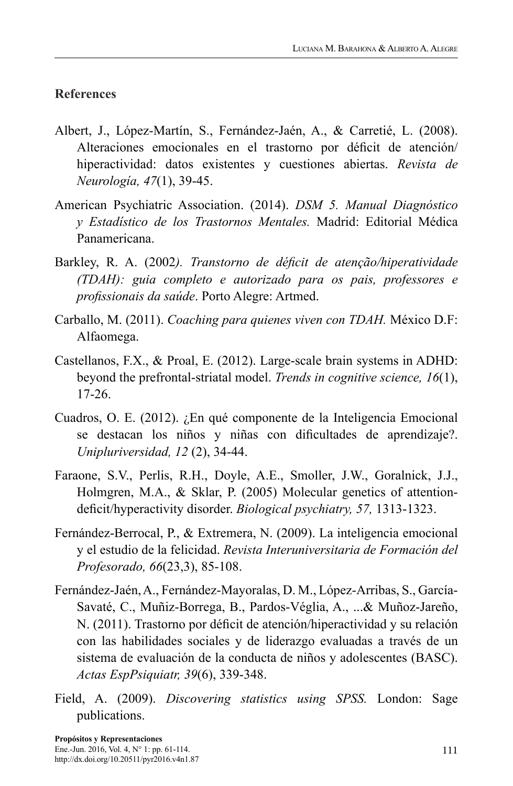### **References**

- Albert, J., López-Martín, S., Fernández-Jaén, A., & Carretié, L. (2008). Alteraciones emocionales en el trastorno por déficit de atención/ hiperactividad: datos existentes y cuestiones abiertas. *Revista de Neurología, 47*(1), 39-45.
- American Psychiatric Association. (2014). *DSM 5. Manual Diagnóstico y Estadístico de los Trastornos Mentales.* Madrid: Editorial Médica Panamericana.
- Barkley, R. A. (2002*). Transtorno de déficit de atenção/hiperatividade (TDAH): guia completo e autorizado para os pais, professores e profissionais da saúde*. Porto Alegre: Artmed.
- Carballo, M. (2011). *Coaching para quienes viven con TDAH.* México D.F: Alfaomega.
- Castellanos, F.X., & Proal, E. (2012). Large-scale brain systems in ADHD: beyond the prefrontal-striatal model. *Trends in cognitive science, 16*(1), 17-26.
- Cuadros, O. E. (2012). ¿En qué componente de la Inteligencia Emocional se destacan los niños y niñas con dificultades de aprendizaje?. *Unipluriversidad, 12* (2), 34-44.
- Faraone, S.V., Perlis, R.H., Doyle, A.E., Smoller, J.W., Goralnick, J.J., Holmgren, M.A., & Sklar, P. (2005) Molecular genetics of attentiondeficit/hyperactivity disorder. *Biological psychiatry, 57,* 1313-1323.
- Fernández-Berrocal, P., & Extremera, N. (2009). La inteligencia emocional y el estudio de la felicidad. *Revista Interuniversitaria de Formación del Profesorado, 66*(23,3), 85-108.
- Fernández-Jaén, A., Fernández-Mayoralas, D. M., López-Arribas, S., García-Savaté, C., Muñiz-Borrega, B., Pardos-Véglia, A., ...& Muñoz-Jareño, N. (2011). Trastorno por déficit de atención/hiperactividad y su relación con las habilidades sociales y de liderazgo evaluadas a través de un sistema de evaluación de la conducta de niños y adolescentes (BASC). *Actas EspPsiquiatr, 39*(6), 339-348.
- Field, A. (2009). *Discovering statistics using SPSS.* London: Sage publications.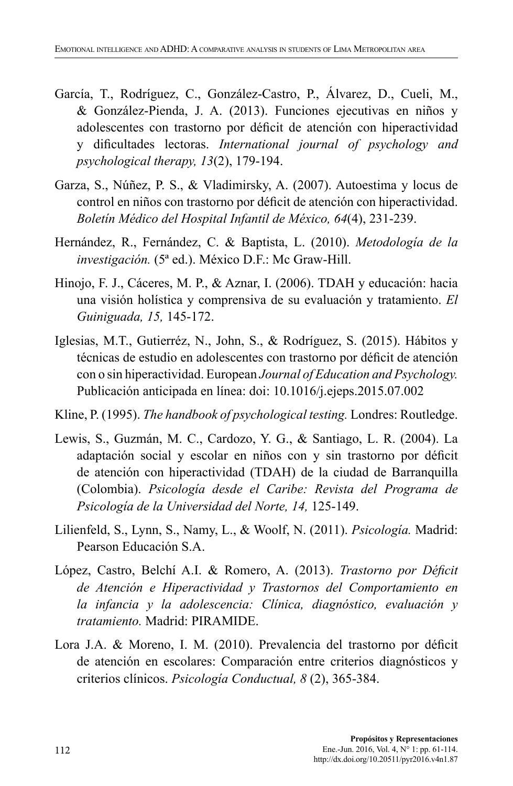- García, T., Rodríguez, C., González-Castro, P., Álvarez, D., Cueli, M., & González-Pienda, J. A. (2013). Funciones ejecutivas en niños y adolescentes con trastorno por déficit de atención con hiperactividad y dificultades lectoras. *International journal of psychology and psychological therapy, 13*(2), 179-194.
- Garza, S., Núñez, P. S., & Vladimirsky, A. (2007). Autoestima y locus de control en niños con trastorno por déficit de atención con hiperactividad. *Boletín Médico del Hospital Infantil de México, 64*(4), 231-239.
- Hernández, R., Fernández, C. & Baptista, L. (2010). *Metodología de la investigación.* (5ª ed.). México D.F.: Mc Graw-Hill.
- Hinojo, F. J., Cáceres, M. P., & Aznar, I. (2006). TDAH y educación: hacia una visión holística y comprensiva de su evaluación y tratamiento. *El Guiniguada, 15,* 145-172.
- Iglesias, M.T., Gutierréz, N., John, S., & Rodríguez, S. (2015). Hábitos y técnicas de estudio en adolescentes con trastorno por déficit de atención con o sin hiperactividad. European *Journal of Education and Psychology.* Publicación anticipada en línea: doi: 10.1016/j.ejeps.2015.07.002
- Kline, P. (1995). *The handbook of psychological testing.* Londres: Routledge.
- Lewis, S., Guzmán, M. C., Cardozo, Y. G., & Santiago, L. R. (2004). La adaptación social y escolar en niños con y sin trastorno por déficit de atención con hiperactividad (TDAH) de la ciudad de Barranquilla (Colombia). *Psicología desde el Caribe: Revista del Programa de Psicología de la Universidad del Norte, 14,* 125-149.
- Lilienfeld, S., Lynn, S., Namy, L., & Woolf, N. (2011). *Psicología.* Madrid: Pearson Educación S.A.
- López, Castro, Belchí A.I. & Romero, A. (2013). *Trastorno por Déficit de Atención e Hiperactividad y Trastornos del Comportamiento en la infancia y la adolescencia: Clínica, diagnóstico, evaluación y tratamiento.* Madrid: PIRAMIDE.
- Lora J.A. & Moreno, I. M. (2010). Prevalencia del trastorno por déficit de atención en escolares: Comparación entre criterios diagnósticos y criterios clínicos. *Psicología Conductual, 8* (2), 365-384.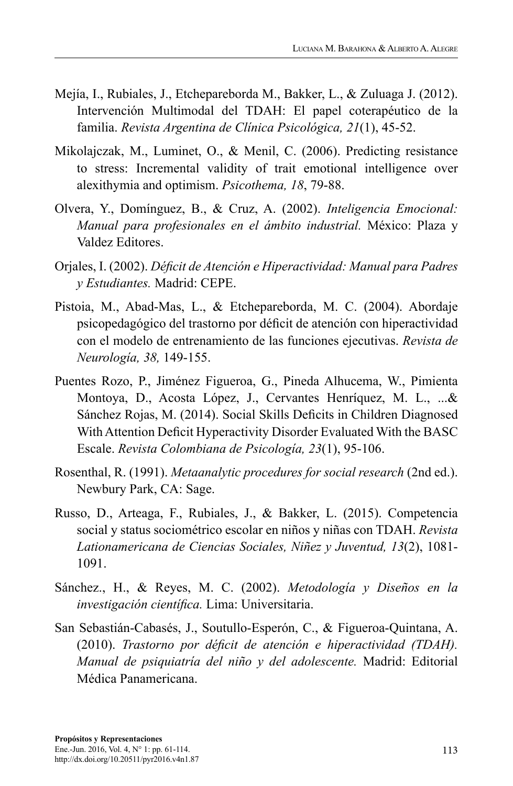- Mejía, I., Rubiales, J., Etchepareborda M., Bakker, L., & Zuluaga J. (2012). Intervención Multimodal del TDAH: El papel coterapéutico de la familia. *Revista Argentina de Clínica Psicológica, 21*(1), 45-52.
- Mikolajczak, M., Luminet, O., & Menil, C. (2006). Predicting resistance to stress: Incremental validity of trait emotional intelligence over alexithymia and optimism. *Psicothema, 18*, 79-88.
- Olvera, Y., Domínguez, B., & Cruz, A. (2002). *Inteligencia Emocional: Manual para profesionales en el ámbito industrial.* México: Plaza y Valdez Editores.
- Orjales, I. (2002). *Déficit de Atención e Hiperactividad: Manual para Padres y Estudiantes.* Madrid: CEPE.
- Pistoia, M., Abad-Mas, L., & Etchepareborda, M. C. (2004). Abordaje psicopedagógico del trastorno por déficit de atención con hiperactividad con el modelo de entrenamiento de las funciones ejecutivas. *Revista de Neurología, 38,* 149-155.
- Puentes Rozo, P., Jiménez Figueroa, G., Pineda Alhucema, W., Pimienta Montoya, D., Acosta López, J., Cervantes Henríquez, M. L., ...& Sánchez Rojas, M. (2014). Social Skills Deficits in Children Diagnosed With Attention Deficit Hyperactivity Disorder Evaluated With the BASC Escale. *Revista Colombiana de Psicología, 23*(1), 95-106.
- Rosenthal, R. (1991). *Metaanalytic procedures for social research* (2nd ed.). Newbury Park, CA: Sage.
- Russo, D., Arteaga, F., Rubiales, J., & Bakker, L. (2015). Competencia social y status sociométrico escolar en niños y niñas con TDAH. *Revista Lationamericana de Ciencias Sociales, Niñez y Juventud, 13*(2), 1081- 1091.
- Sánchez., H., & Reyes, M. C. (2002). *Metodología y Diseños en la investigación científica.* Lima: Universitaria.
- San Sebastián-Cabasés, J., Soutullo-Esperón, C., & Figueroa-Quintana, A. (2010). *Trastorno por déficit de atención e hiperactividad (TDAH). Manual de psiquiatría del niño y del adolescente.* Madrid: Editorial Médica Panamericana.